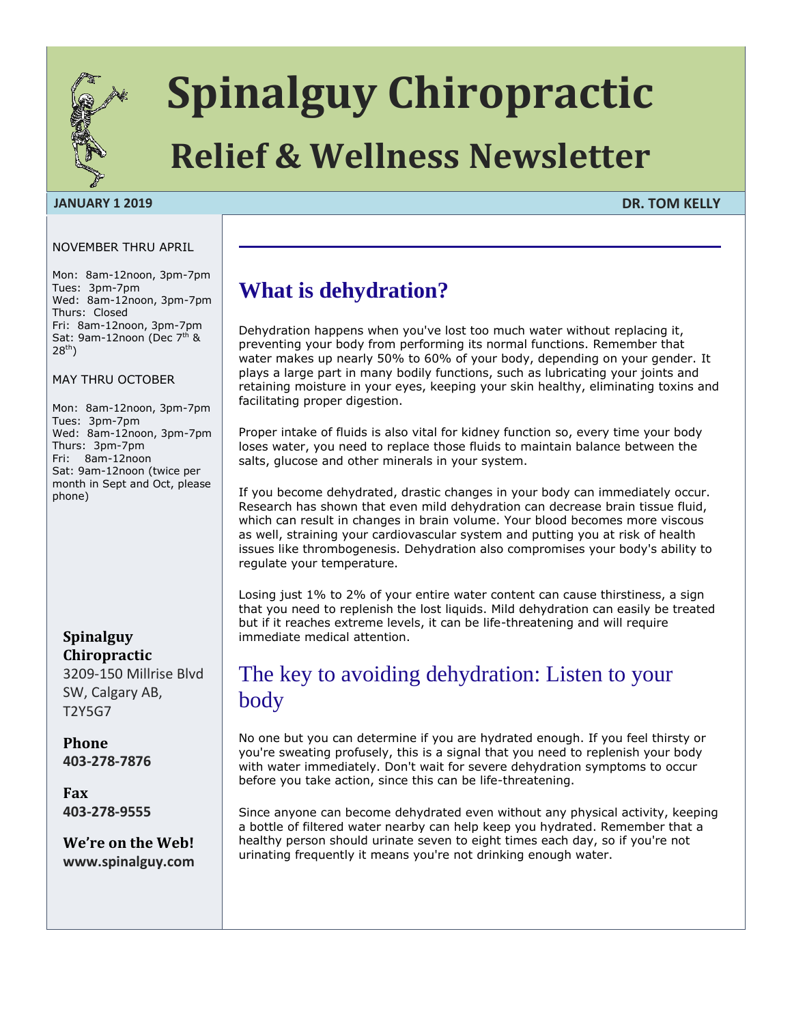

# **Spinalguy Chiropractic**

## **Relief & Wellness Newsletter**

#### **JANUARY 1 2019 DR. TOM KELLY**

#### NOVEMBER THRU APRIL

Mon: 8am-12noon, 3pm-7pm Tues: 3pm-7pm Wed: 8am-12noon, 3pm-7pm Thurs: Closed Fri: 8am-12noon, 3pm-7pm Sat: 9am-12noon (Dec  $7<sup>th</sup>$  &  $28^{th}$ )

MAY THRU OCTOBER

Mon: 8am-12noon, 3pm-7pm Tues: 3pm-7pm Wed: 8am-12noon, 3pm-7pm Thurs: 3pm-7pm Fri: 8am-12noon Sat: 9am-12noon (twice per month in Sept and Oct, please phone)

## **Spinalguy Chiropractic**

3209-150 Millrise Blvd SW, Calgary AB, T2Y5G7

## **Phone 403-278-7876**

**Fax 403-278-9555**

**We're on the Web! www.spinalguy.com**

## **What is dehydration?**

Dehydration happens when you've lost too much water without replacing it, preventing your body from performing its normal functions. Remember that water makes up nearly 50% to 60% of your body, depending on your gender. It plays a large part in many bodily functions, such as lubricating your joints and retaining moisture in your eyes, keeping your skin healthy, eliminating toxins and facilitating proper digestion.

Proper intake of fluids is also vital for kidney function so, every time your body loses water, you need to replace those fluids to maintain balance between the salts, glucose and other minerals in your system.

If you become dehydrated, drastic changes in your body can immediately occur. Research has shown that even mild dehydration can decrease brain tissue fluid, which can result in changes in brain volume. Your blood becomes more viscous as well, straining your cardiovascular system and putting you at risk of health issues like thrombogenesis. Dehydration also compromises your body's ability to regulate your temperature.

Losing just 1% to 2% of your entire water content can cause thirstiness, a sign that you need to replenish the lost liquids. Mild dehydration can easily be treated but if it reaches extreme levels, it can be life-threatening and will require immediate medical attention.

## The key to avoiding dehydration: Listen to your body

No one but you can determine if you are hydrated enough. If you feel thirsty or you're sweating profusely, this is a signal that you need to replenish your body with water immediately. Don't wait for severe dehydration symptoms to occur before you take action, since this can be life-threatening.

Since anyone can become dehydrated even without any physical activity, keeping a bottle of filtered water nearby can help keep you hydrated. Remember that a healthy person should urinate seven to eight times each day, so if you're not urinating frequently it means you're not drinking enough water.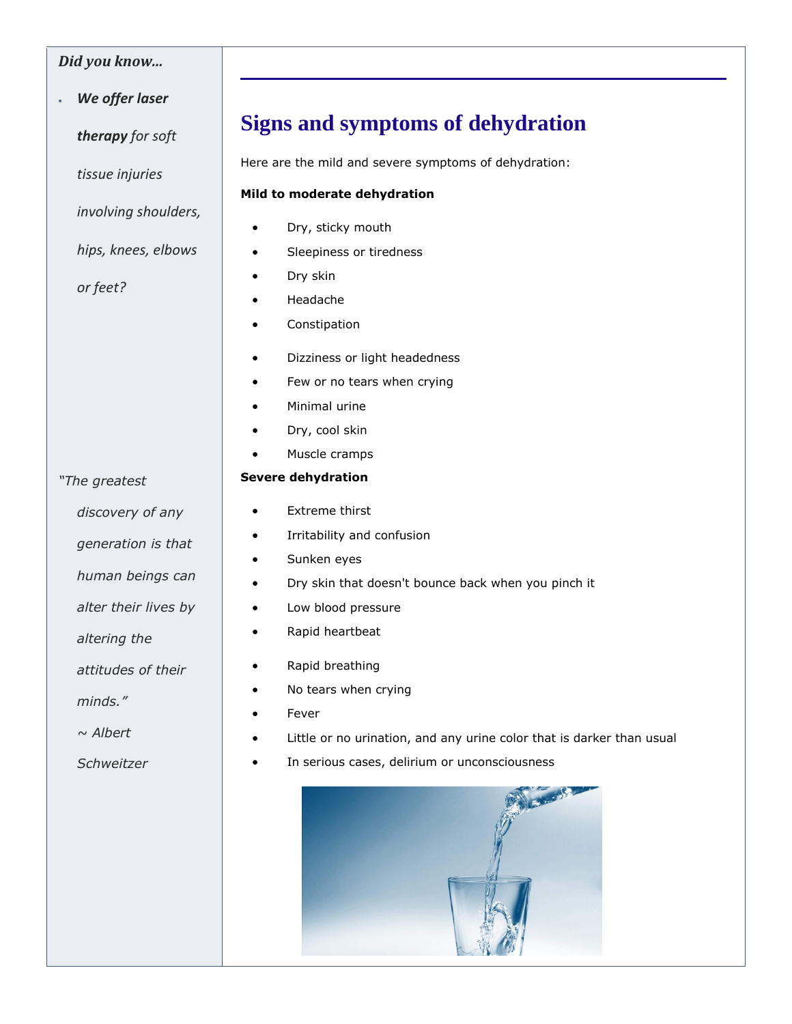## *Did you know...*

*We offer laser* 

*therapy for soft* 

*tissue injuries*

*involving shoulders,* 

*hips, knees, elbows* 

*or feet?*

## **Signs and symptoms of dehydration**

Here are the mild and severe symptoms of dehydration:

#### **Mild to moderate dehydration**

- Dry, sticky mouth
- **•** Sleepiness or tiredness
- Dry skin
- Headache
- **•** Constipation
- Dizziness or light headedness
- Few or no tears when crying
- Minimal urine
- Dry, cool skin
- [Muscle cramps](https://articles.mercola.com/how-to-get-rid-of-cramps.aspx)

## **Severe dehydration**

- Extreme thirst
- Irritability and confusion
- Sunken eyes
- Dry skin that doesn't bounce back when you pinch it
- Low blood pressure
- Rapid heartbeat
- Rapid breathing
- No tears when crying
- Fever
- Little or no urination, and any urine color that is darker than usual
- In serious cases, delirium or unconsciousness



*discovery of any generation is that human beings can alter their lives by altering the attitudes of their minds."*

*Schweitzer* 

*"The greatest* 

*~ Albert*